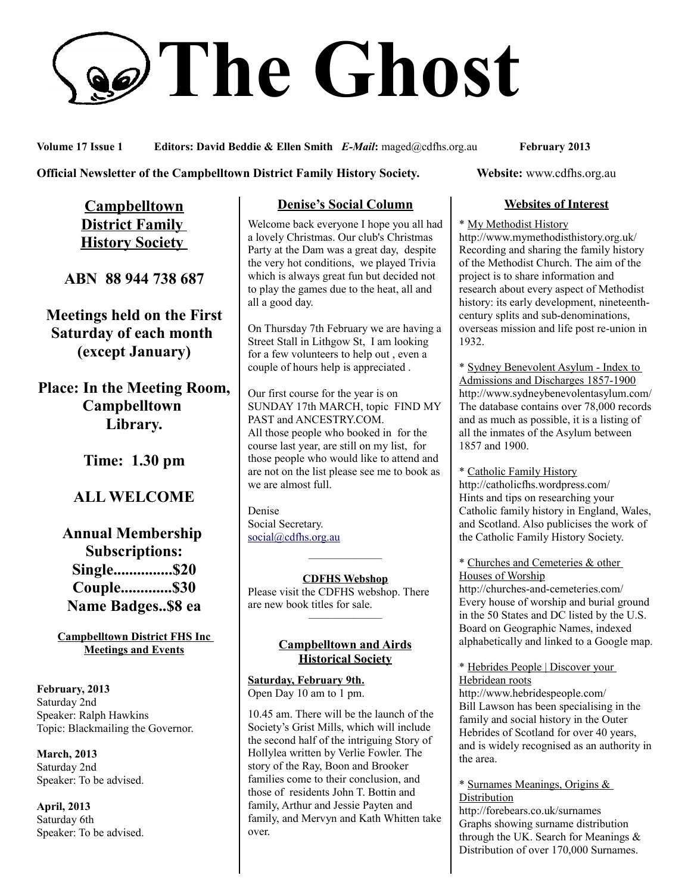# **The Ghost**

**Volume 17 Issue 1 Editors: David Beddie & Ellen Smith** *E-Mail***:** maged@cdfhs.org.au **February 2013**

#### **Official Newsletter of the Campbelltown District Family History Society. Website: www.cdfhs.org.au**

**Campbelltown District Family History Society** 

**ABN 88 944 738 687**

**Meetings held on the First Saturday of each month (except January)**

**Place: In the Meeting Room, Campbelltown Library.**

**Time: 1.30 pm**

## **ALL WELCOME**

**Annual Membership Subscriptions: Single...............\$20 Couple.............\$30 Name Badges..\$8 ea**

**Campbelltown District FHS Inc Meetings and Events**

**February, 2013** Saturday 2nd Speaker: Ralph Hawkins Topic: Blackmailing the Governor.

**March, 2013** Saturday 2nd Speaker: To be advised.

**April, 2013** Saturday 6th Speaker: To be advised.

#### **Denise's Social Column**

Welcome back everyone I hope you all had a lovely Christmas. Our club's Christmas Party at the Dam was a great day, despite the very hot conditions, we played Trivia which is always great fun but decided not to play the games due to the heat, all and all a good day.

On Thursday 7th February we are having a Street Stall in Lithgow St, I am looking for a few volunteers to help out , even a couple of hours help is appreciated .

Our first course for the year is on SUNDAY 17th MARCH, topic FIND MY PAST and ANCESTRY.COM. All those people who booked in for the course last year, are still on my list, for those people who would like to attend and are not on the list please see me to book as we are almost full.

Denise Social Secretary. [social@cdfhs.org.au](mailto:social@cdfhs.org.au)

**CDFHS Webshop**

——————–

Please visit the CDFHS webshop. There are new book titles for sale. ——————–

#### **Campbelltown and Airds Historical Society**

**Saturday, February 9th.** Open Day 10 am to 1 pm.

10.45 am. There will be the launch of the Society's Grist Mills, which will include the second half of the intriguing Story of Hollylea written by Verlie Fowler. The story of the Ray, Boon and Brooker families come to their conclusion, and those of residents John T. Bottin and family, Arthur and Jessie Payten and family, and Mervyn and Kath Whitten take over.

#### **Websites of Interest**

\* My Methodist History

http://www.mymethodisthistory.org.uk/ Recording and sharing the family history of the Methodist Church. The aim of the project is to share information and research about every aspect of Methodist history: its early development, nineteenthcentury splits and sub-denominations, overseas mission and life post re-union in 1932.

\* Sydney Benevolent Asylum - Index to Admissions and Discharges 1857-1900 http://www.sydneybenevolentasylum.com/ The database contains over 78,000 records and as much as possible, it is a listing of all the inmates of the Asylum between 1857 and 1900.

\* Catholic Family History http://catholicfhs.wordpress.com/ Hints and tips on researching your Catholic family history in England, Wales, and Scotland. Also publicises the work of the Catholic Family History Society.

\* Churches and Cemeteries & other Houses of Worship

http://churches-and-cemeteries.com/ Every house of worship and burial ground in the 50 States and DC listed by the U.S. Board on Geographic Names, indexed alphabetically and linked to a Google map.

\* Hebrides People | Discover your Hebridean roots

http://www.hebridespeople.com/ Bill Lawson has been specialising in the family and social history in the Outer Hebrides of Scotland for over 40 years, and is widely recognised as an authority in the area.

\* Surnames Meanings, Origins & Distribution

http://forebears.co.uk/surnames Graphs showing surname distribution through the UK. Search for Meanings  $\&$ Distribution of over 170,000 Surnames.